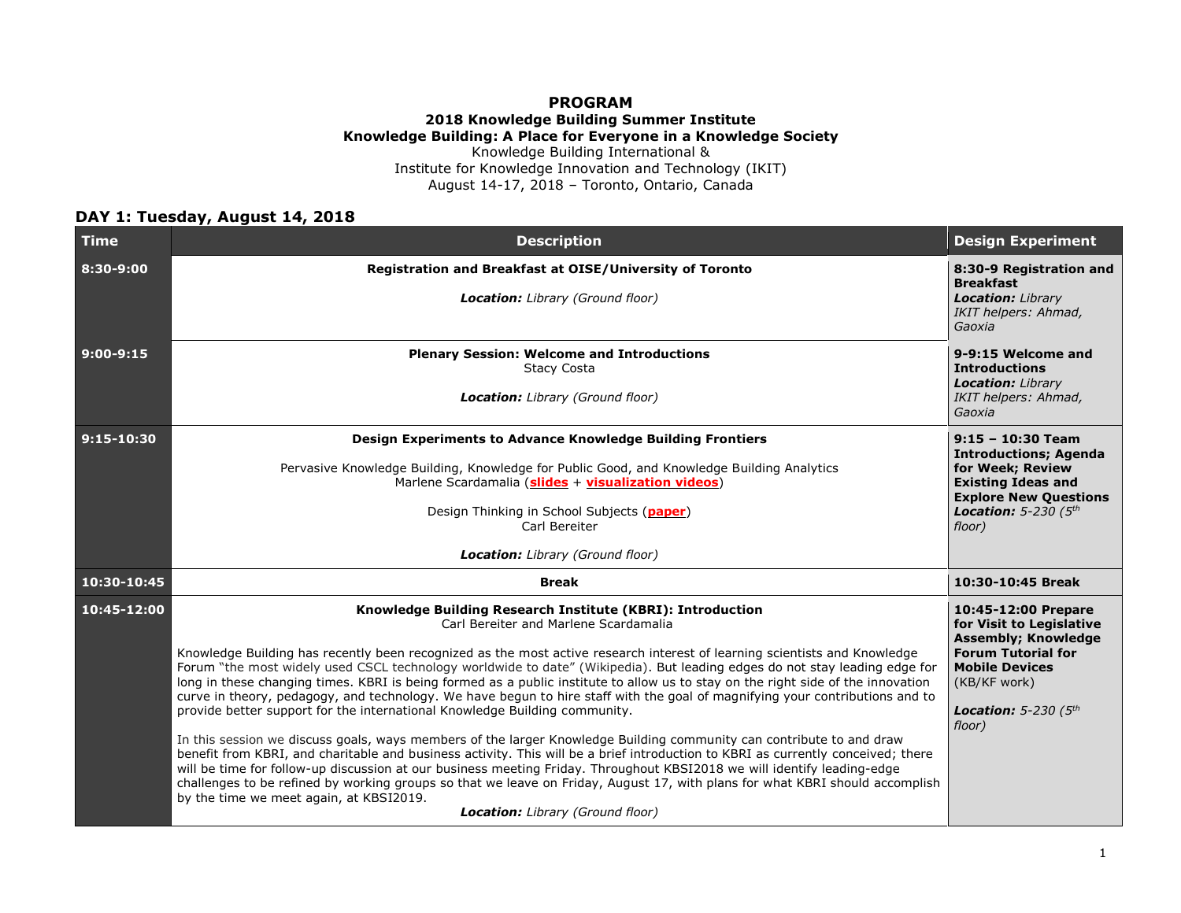#### **PROGRAM 2018 Knowledge Building Summer Institute Knowledge Building: A Place for Everyone in a Knowledge Society**

Knowledge Building International & Institute for Knowledge Innovation and Technology (IKIT) August 14-17, 2018 – Toronto, Ontario, Canada

#### **DAY 1: Tuesday, August 14, 2018**

| <b>Time</b>    | <b>Description</b>                                                                                                                                                                                                                                                                                                                                                                                                                                                                                                                                                                                                                                                                                                                                                                                                                                                                                                                                                                                                                                                                                                                                                                                                                                                                                                            | <b>Design Experiment</b>                                                                                                                                                                       |
|----------------|-------------------------------------------------------------------------------------------------------------------------------------------------------------------------------------------------------------------------------------------------------------------------------------------------------------------------------------------------------------------------------------------------------------------------------------------------------------------------------------------------------------------------------------------------------------------------------------------------------------------------------------------------------------------------------------------------------------------------------------------------------------------------------------------------------------------------------------------------------------------------------------------------------------------------------------------------------------------------------------------------------------------------------------------------------------------------------------------------------------------------------------------------------------------------------------------------------------------------------------------------------------------------------------------------------------------------------|------------------------------------------------------------------------------------------------------------------------------------------------------------------------------------------------|
| 8:30-9:00      | Registration and Breakfast at OISE/University of Toronto<br><b>Location:</b> Library (Ground floor)                                                                                                                                                                                                                                                                                                                                                                                                                                                                                                                                                                                                                                                                                                                                                                                                                                                                                                                                                                                                                                                                                                                                                                                                                           | 8:30-9 Registration and<br><b>Breakfast</b><br><b>Location: Library</b><br>IKIT helpers: Ahmad,<br>Gaoxia                                                                                      |
| $9:00-9:15$    | <b>Plenary Session: Welcome and Introductions</b><br><b>Stacy Costa</b><br><b>Location:</b> Library (Ground floor)                                                                                                                                                                                                                                                                                                                                                                                                                                                                                                                                                                                                                                                                                                                                                                                                                                                                                                                                                                                                                                                                                                                                                                                                            | 9-9:15 Welcome and<br><b>Introductions</b><br><b>Location: Library</b><br>IKIT helpers: Ahmad,<br>Gaoxia                                                                                       |
| $9:15 - 10:30$ | Design Experiments to Advance Knowledge Building Frontiers<br>Pervasive Knowledge Building, Knowledge for Public Good, and Knowledge Building Analytics<br>Marlene Scardamalia (slides + visualization videos)<br>Design Thinking in School Subjects (paper)<br>Carl Bereiter<br><b>Location:</b> Library (Ground floor)                                                                                                                                                                                                                                                                                                                                                                                                                                                                                                                                                                                                                                                                                                                                                                                                                                                                                                                                                                                                      | $9:15 - 10:30$ Team<br><b>Introductions; Agenda</b><br>for Week; Review<br><b>Existing Ideas and</b><br><b>Explore New Questions</b><br>Location: $5-230$ ( $5th$<br>floor)                    |
| 10:30-10:45    | <b>Break</b>                                                                                                                                                                                                                                                                                                                                                                                                                                                                                                                                                                                                                                                                                                                                                                                                                                                                                                                                                                                                                                                                                                                                                                                                                                                                                                                  | 10:30-10:45 Break                                                                                                                                                                              |
| 10:45-12:00    | Knowledge Building Research Institute (KBRI): Introduction<br>Carl Bereiter and Marlene Scardamalia<br>Knowledge Building has recently been recognized as the most active research interest of learning scientists and Knowledge<br>Forum "the most widely used CSCL technology worldwide to date" (Wikipedia). But leading edges do not stay leading edge for<br>long in these changing times. KBRI is being formed as a public institute to allow us to stay on the right side of the innovation<br>curve in theory, pedagogy, and technology. We have begun to hire staff with the goal of magnifying your contributions and to<br>provide better support for the international Knowledge Building community.<br>In this session we discuss goals, ways members of the larger Knowledge Building community can contribute to and draw<br>benefit from KBRI, and charitable and business activity. This will be a brief introduction to KBRI as currently conceived; there<br>will be time for follow-up discussion at our business meeting Friday. Throughout KBSI2018 we will identify leading-edge<br>challenges to be refined by working groups so that we leave on Friday, August 17, with plans for what KBRI should accomplish<br>by the time we meet again, at KBSI2019.<br><b>Location:</b> Library (Ground floor) | 10:45-12:00 Prepare<br>for Visit to Legislative<br><b>Assembly; Knowledge</b><br><b>Forum Tutorial for</b><br><b>Mobile Devices</b><br>(KB/KF work)<br><b>Location:</b> 5-230 $(5th$<br>floor) |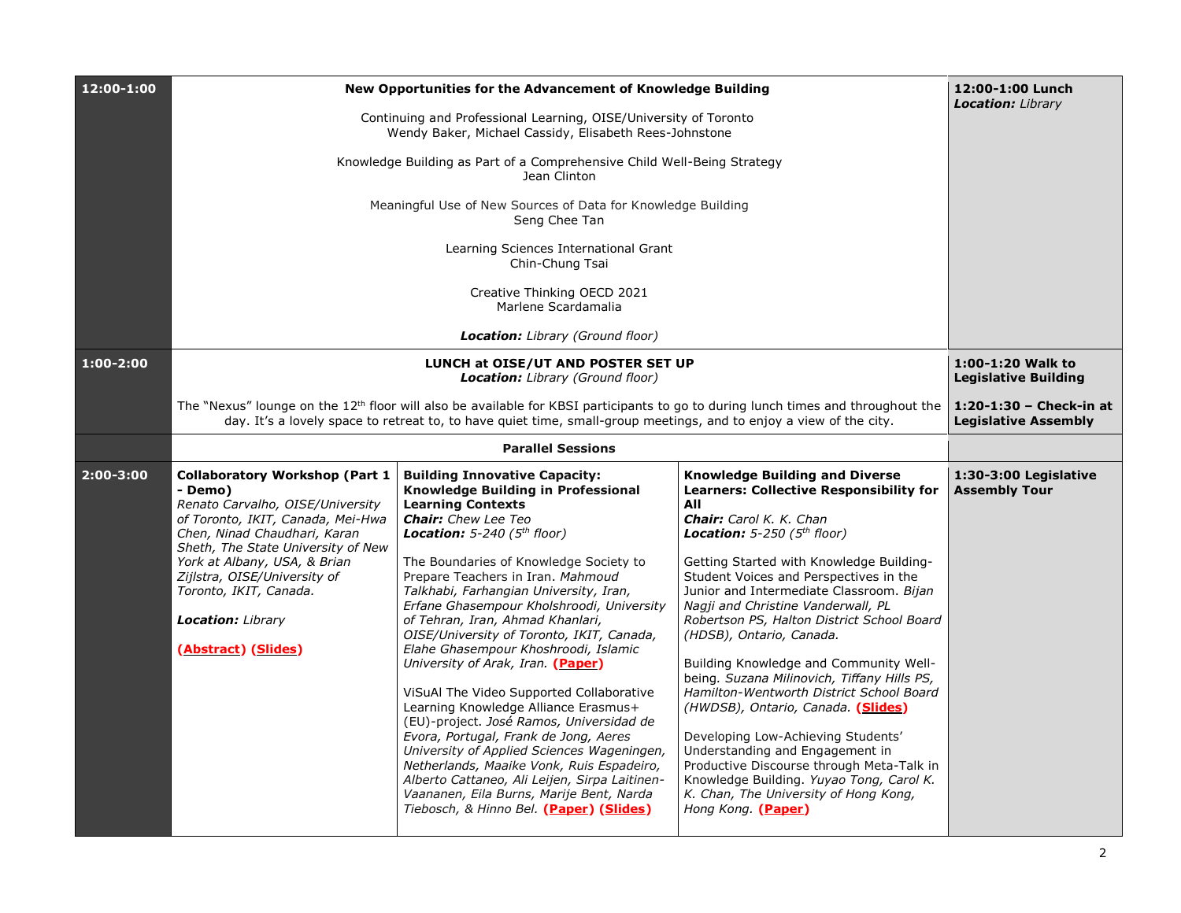| 12:00-1:00    | New Opportunities for the Advancement of Knowledge Building                                                                                                                                                                                                                                                                                  | 12:00-1:00 Lunch<br><b>Location:</b> Library                                                                                                                                                                                                                                                                                                                                                                                                                                                                                                                                                                                                                                                                                                                                                                                                                                                                                   |                                                                                                                                                                                                                                                                                                                                                                                                                                                                                                                                                                                                                                                                                                                                                                                                                                         |                                                  |  |
|---------------|----------------------------------------------------------------------------------------------------------------------------------------------------------------------------------------------------------------------------------------------------------------------------------------------------------------------------------------------|--------------------------------------------------------------------------------------------------------------------------------------------------------------------------------------------------------------------------------------------------------------------------------------------------------------------------------------------------------------------------------------------------------------------------------------------------------------------------------------------------------------------------------------------------------------------------------------------------------------------------------------------------------------------------------------------------------------------------------------------------------------------------------------------------------------------------------------------------------------------------------------------------------------------------------|-----------------------------------------------------------------------------------------------------------------------------------------------------------------------------------------------------------------------------------------------------------------------------------------------------------------------------------------------------------------------------------------------------------------------------------------------------------------------------------------------------------------------------------------------------------------------------------------------------------------------------------------------------------------------------------------------------------------------------------------------------------------------------------------------------------------------------------------|--------------------------------------------------|--|
|               | Continuing and Professional Learning, OISE/University of Toronto<br>Wendy Baker, Michael Cassidy, Elisabeth Rees-Johnstone                                                                                                                                                                                                                   |                                                                                                                                                                                                                                                                                                                                                                                                                                                                                                                                                                                                                                                                                                                                                                                                                                                                                                                                |                                                                                                                                                                                                                                                                                                                                                                                                                                                                                                                                                                                                                                                                                                                                                                                                                                         |                                                  |  |
|               |                                                                                                                                                                                                                                                                                                                                              | Knowledge Building as Part of a Comprehensive Child Well-Being Strategy<br>Jean Clinton                                                                                                                                                                                                                                                                                                                                                                                                                                                                                                                                                                                                                                                                                                                                                                                                                                        |                                                                                                                                                                                                                                                                                                                                                                                                                                                                                                                                                                                                                                                                                                                                                                                                                                         |                                                  |  |
|               |                                                                                                                                                                                                                                                                                                                                              | Meaningful Use of New Sources of Data for Knowledge Building<br>Seng Chee Tan                                                                                                                                                                                                                                                                                                                                                                                                                                                                                                                                                                                                                                                                                                                                                                                                                                                  |                                                                                                                                                                                                                                                                                                                                                                                                                                                                                                                                                                                                                                                                                                                                                                                                                                         |                                                  |  |
|               |                                                                                                                                                                                                                                                                                                                                              | Learning Sciences International Grant<br>Chin-Chung Tsai                                                                                                                                                                                                                                                                                                                                                                                                                                                                                                                                                                                                                                                                                                                                                                                                                                                                       |                                                                                                                                                                                                                                                                                                                                                                                                                                                                                                                                                                                                                                                                                                                                                                                                                                         |                                                  |  |
|               |                                                                                                                                                                                                                                                                                                                                              | Creative Thinking OECD 2021<br>Marlene Scardamalia                                                                                                                                                                                                                                                                                                                                                                                                                                                                                                                                                                                                                                                                                                                                                                                                                                                                             |                                                                                                                                                                                                                                                                                                                                                                                                                                                                                                                                                                                                                                                                                                                                                                                                                                         |                                                  |  |
|               |                                                                                                                                                                                                                                                                                                                                              | <b>Location:</b> Library (Ground floor)                                                                                                                                                                                                                                                                                                                                                                                                                                                                                                                                                                                                                                                                                                                                                                                                                                                                                        |                                                                                                                                                                                                                                                                                                                                                                                                                                                                                                                                                                                                                                                                                                                                                                                                                                         |                                                  |  |
| $1:00 - 2:00$ |                                                                                                                                                                                                                                                                                                                                              | LUNCH at OISE/UT AND POSTER SET UP<br><b>Location:</b> Library (Ground floor)                                                                                                                                                                                                                                                                                                                                                                                                                                                                                                                                                                                                                                                                                                                                                                                                                                                  |                                                                                                                                                                                                                                                                                                                                                                                                                                                                                                                                                                                                                                                                                                                                                                                                                                         | 1:00-1:20 Walk to<br><b>Legislative Building</b> |  |
|               | The "Nexus" lounge on the $12th$ floor will also be available for KBSI participants to go to during lunch times and throughout the<br>day. It's a lovely space to retreat to, to have quiet time, small-group meetings, and to enjoy a view of the city.                                                                                     |                                                                                                                                                                                                                                                                                                                                                                                                                                                                                                                                                                                                                                                                                                                                                                                                                                                                                                                                |                                                                                                                                                                                                                                                                                                                                                                                                                                                                                                                                                                                                                                                                                                                                                                                                                                         |                                                  |  |
|               |                                                                                                                                                                                                                                                                                                                                              | <b>Parallel Sessions</b>                                                                                                                                                                                                                                                                                                                                                                                                                                                                                                                                                                                                                                                                                                                                                                                                                                                                                                       |                                                                                                                                                                                                                                                                                                                                                                                                                                                                                                                                                                                                                                                                                                                                                                                                                                         |                                                  |  |
| $2:00 - 3:00$ | <b>Collaboratory Workshop (Part 1</b><br>- Demo)<br>Renato Carvalho, OISE/University<br>of Toronto, IKIT, Canada, Mei-Hwa<br>Chen, Ninad Chaudhari, Karan<br>Sheth, The State University of New<br>York at Albany, USA, & Brian<br>Zijlstra, OISE/University of<br>Toronto, IKIT, Canada.<br><b>Location:</b> Library<br>(Abstract) (Slides) | <b>Building Innovative Capacity:</b><br>Knowledge Building in Professional<br><b>Learning Contexts</b><br><b>Chair:</b> Chew Lee Teo<br><b>Location:</b> 5-240 ( $5th floor$ )<br>The Boundaries of Knowledge Society to<br>Prepare Teachers in Iran. Mahmoud<br>Talkhabi, Farhangian University, Iran,<br>Erfane Ghasempour Kholshroodi, University<br>of Tehran, Iran, Ahmad Khanlari,<br>OISE/University of Toronto, IKIT, Canada,<br>Elahe Ghasempour Khoshroodi, Islamic<br>University of Arak, Iran. (Paper)<br>ViSuAl The Video Supported Collaborative<br>Learning Knowledge Alliance Erasmus+<br>(EU)-project. José Ramos, Universidad de<br>Evora, Portugal, Frank de Jong, Aeres<br>University of Applied Sciences Wageningen,<br>Netherlands, Maaike Vonk, Ruis Espadeiro,<br>Alberto Cattaneo, Ali Leijen, Sirpa Laitinen-<br>Vaananen, Eila Burns, Marije Bent, Narda<br>Tiebosch, & Hinno Bel. (Paper) (Slides) | <b>Knowledge Building and Diverse</b><br><b>Learners: Collective Responsibility for</b><br>All<br><b>Chair:</b> Carol K. K. Chan<br><b>Location:</b> 5-250 ( $5th$ floor)<br>Getting Started with Knowledge Building-<br>Student Voices and Perspectives in the<br>Junior and Intermediate Classroom. Bijan<br>Nagji and Christine Vanderwall, PL<br>Robertson PS, Halton District School Board<br>(HDSB), Ontario, Canada.<br>Building Knowledge and Community Well-<br>being. Suzana Milinovich, Tiffany Hills PS,<br>Hamilton-Wentworth District School Board<br>(HWDSB), Ontario, Canada. (Slides)<br>Developing Low-Achieving Students'<br>Understanding and Engagement in<br>Productive Discourse through Meta-Talk in<br>Knowledge Building. Yuyao Tong, Carol K.<br>K. Chan, The University of Hong Kong,<br>Hong Kong. (Paper) | 1:30-3:00 Legislative<br><b>Assembly Tour</b>    |  |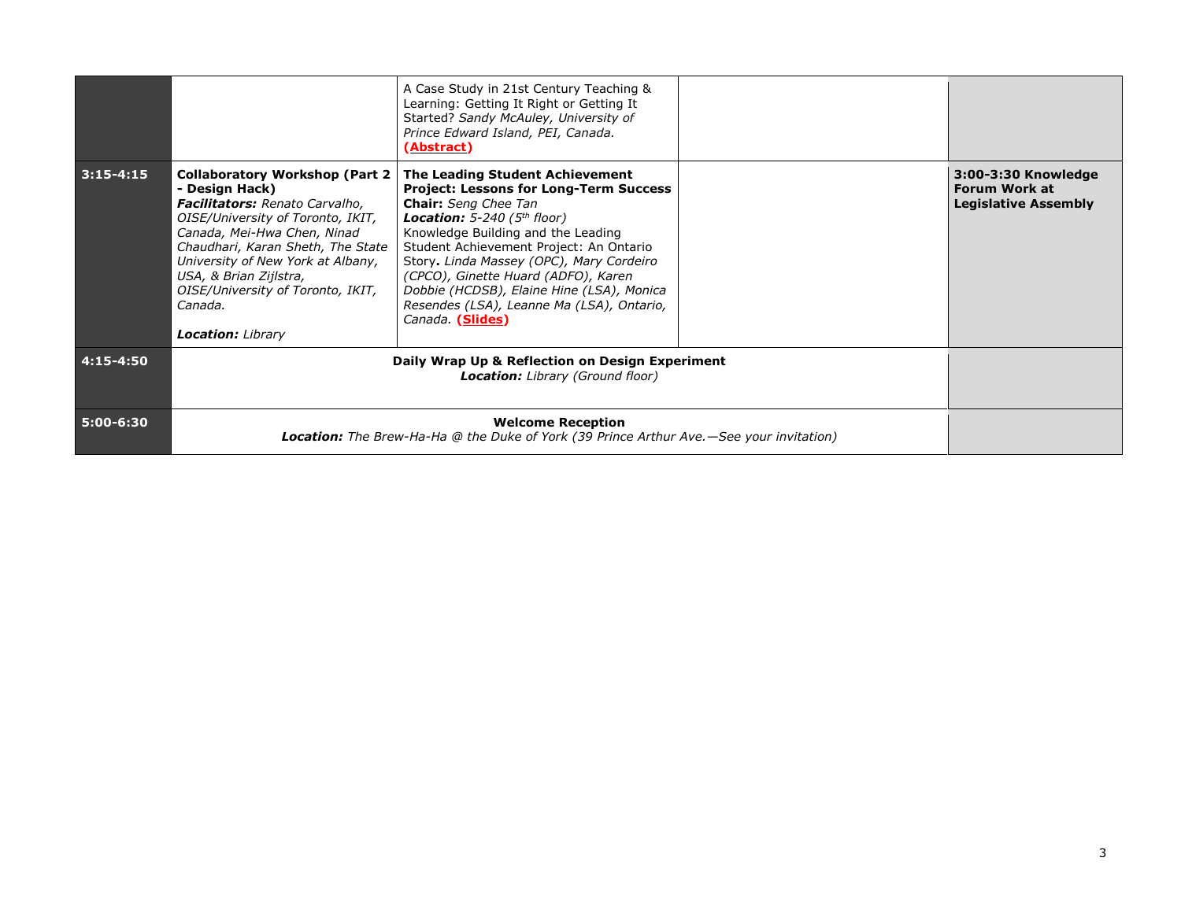|               |                                                                                                                                                                                                                                                                                                                                                | A Case Study in 21st Century Teaching &<br>Learning: Getting It Right or Getting It<br>Started? Sandy McAuley, University of<br>Prince Edward Island, PEI, Canada.<br>(Abstract)                                                                                                                                                                                                                                                           |                                                                            |
|---------------|------------------------------------------------------------------------------------------------------------------------------------------------------------------------------------------------------------------------------------------------------------------------------------------------------------------------------------------------|--------------------------------------------------------------------------------------------------------------------------------------------------------------------------------------------------------------------------------------------------------------------------------------------------------------------------------------------------------------------------------------------------------------------------------------------|----------------------------------------------------------------------------|
| $3:15 - 4:15$ | Collaboratory Workshop (Part 2)<br>- Design Hack)<br><b>Facilitators:</b> Renato Carvalho,<br>OISE/University of Toronto, IKIT,<br>Canada, Mei-Hwa Chen, Ninad<br>Chaudhari, Karan Sheth, The State<br>University of New York at Albany,<br>USA, & Brian Zijlstra,<br>OISE/University of Toronto, IKIT,<br>Canada.<br><b>Location:</b> Library | The Leading Student Achievement<br><b>Project: Lessons for Long-Term Success</b><br><b>Chair:</b> Seng Chee Tan<br><b>Location:</b> 5-240 ( $5th floor$ )<br>Knowledge Building and the Leading<br>Student Achievement Project: An Ontario<br>Story. Linda Massey (OPC), Mary Cordeiro<br>(CPCO), Ginette Huard (ADFO), Karen<br>Dobbie (HCDSB), Elaine Hine (LSA), Monica<br>Resendes (LSA), Leanne Ma (LSA), Ontario,<br>Canada (Slides) | 3:00-3:30 Knowledge<br><b>Forum Work at</b><br><b>Legislative Assembly</b> |
| 4:15-4:50     |                                                                                                                                                                                                                                                                                                                                                | Daily Wrap Up & Reflection on Design Experiment<br><b>Location:</b> Library (Ground floor)                                                                                                                                                                                                                                                                                                                                                 |                                                                            |
| 5:00-6:30     |                                                                                                                                                                                                                                                                                                                                                | <b>Welcome Reception</b><br><b>Location:</b> The Brew-Ha-Ha @ the Duke of York (39 Prince Arthur Ave.—See your invitation)                                                                                                                                                                                                                                                                                                                 |                                                                            |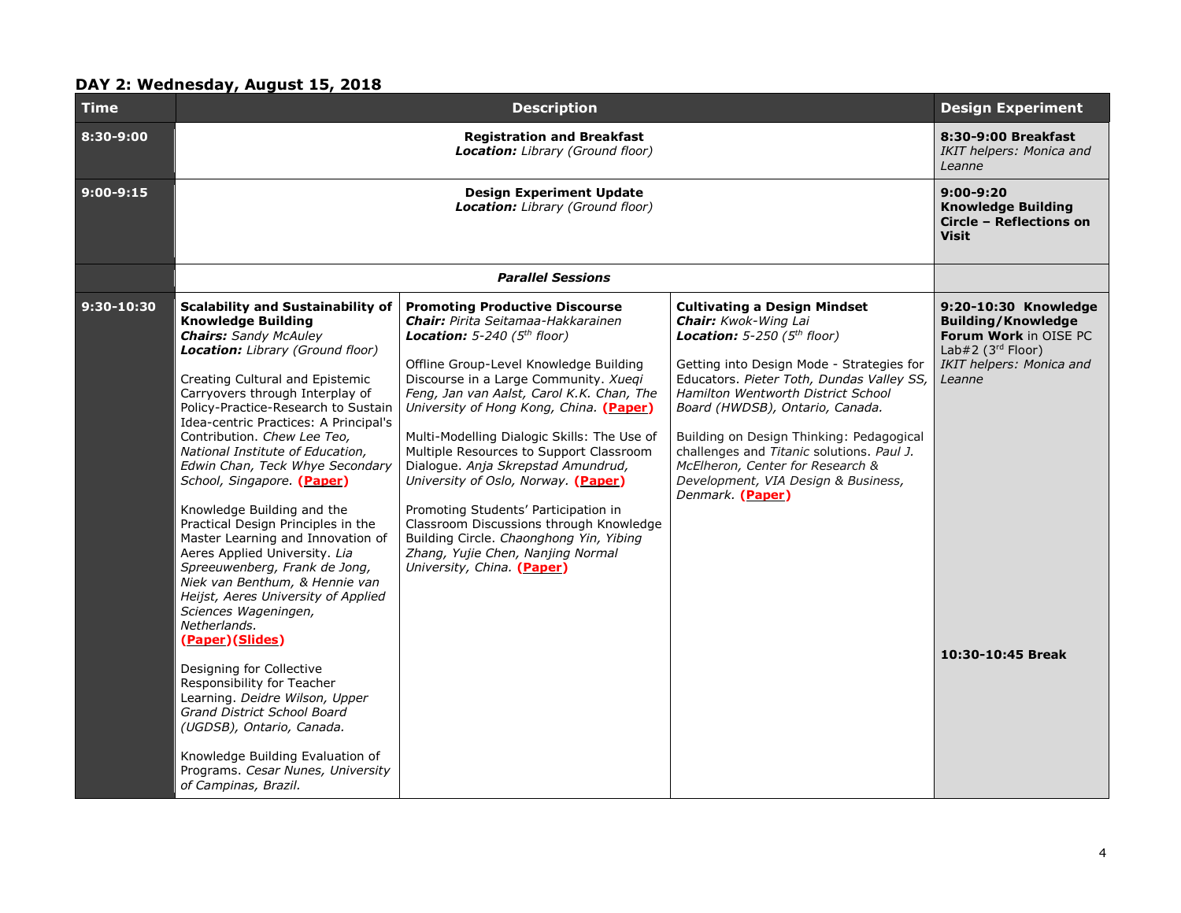# **DAY 2: Wednesday, August 15, 2018**

| Time         |                                                                                                                                                                                                                                                                                                                                                                                                                                                                                                                                                                                                                                                                                                                                                                                                                                                                                                                                                                                                             | <b>Design Experiment</b>                                                                                                                                                                                                                                                                                                                                                                                                                                                                                                                                                                                                                                                        |                                                                                                                                                                                                                                                                                                                                                                                                                                                                         |                                                                                                                                                               |  |  |
|--------------|-------------------------------------------------------------------------------------------------------------------------------------------------------------------------------------------------------------------------------------------------------------------------------------------------------------------------------------------------------------------------------------------------------------------------------------------------------------------------------------------------------------------------------------------------------------------------------------------------------------------------------------------------------------------------------------------------------------------------------------------------------------------------------------------------------------------------------------------------------------------------------------------------------------------------------------------------------------------------------------------------------------|---------------------------------------------------------------------------------------------------------------------------------------------------------------------------------------------------------------------------------------------------------------------------------------------------------------------------------------------------------------------------------------------------------------------------------------------------------------------------------------------------------------------------------------------------------------------------------------------------------------------------------------------------------------------------------|-------------------------------------------------------------------------------------------------------------------------------------------------------------------------------------------------------------------------------------------------------------------------------------------------------------------------------------------------------------------------------------------------------------------------------------------------------------------------|---------------------------------------------------------------------------------------------------------------------------------------------------------------|--|--|
| 8:30-9:00    |                                                                                                                                                                                                                                                                                                                                                                                                                                                                                                                                                                                                                                                                                                                                                                                                                                                                                                                                                                                                             | <b>Registration and Breakfast</b><br>Location: Library (Ground floor)                                                                                                                                                                                                                                                                                                                                                                                                                                                                                                                                                                                                           |                                                                                                                                                                                                                                                                                                                                                                                                                                                                         |                                                                                                                                                               |  |  |
| $9:00-9:15$  |                                                                                                                                                                                                                                                                                                                                                                                                                                                                                                                                                                                                                                                                                                                                                                                                                                                                                                                                                                                                             | $9:00-9:20$<br><b>Knowledge Building</b><br>Circle - Reflections on<br><b>Visit</b>                                                                                                                                                                                                                                                                                                                                                                                                                                                                                                                                                                                             |                                                                                                                                                                                                                                                                                                                                                                                                                                                                         |                                                                                                                                                               |  |  |
|              |                                                                                                                                                                                                                                                                                                                                                                                                                                                                                                                                                                                                                                                                                                                                                                                                                                                                                                                                                                                                             | <b>Parallel Sessions</b>                                                                                                                                                                                                                                                                                                                                                                                                                                                                                                                                                                                                                                                        |                                                                                                                                                                                                                                                                                                                                                                                                                                                                         |                                                                                                                                                               |  |  |
| $9:30-10:30$ | <b>Scalability and Sustainability of</b><br><b>Knowledge Building</b><br><b>Chairs:</b> Sandy McAuley<br>Location: Library (Ground floor)<br>Creating Cultural and Epistemic<br>Carryovers through Interplay of<br>Policy-Practice-Research to Sustain<br>Idea-centric Practices: A Principal's<br>Contribution. Chew Lee Teo,<br>National Institute of Education,<br>Edwin Chan, Teck Whye Secondary<br>School, Singapore. (Paper)<br>Knowledge Building and the<br>Practical Design Principles in the<br>Master Learning and Innovation of<br>Aeres Applied University. Lia<br>Spreeuwenberg, Frank de Jong,<br>Niek van Benthum, & Hennie van<br>Heijst, Aeres University of Applied<br>Sciences Wageningen,<br>Netherlands.<br>(Paper)(Slides)<br>Designing for Collective<br>Responsibility for Teacher<br>Learning. Deidre Wilson, Upper<br>Grand District School Board<br>(UGDSB), Ontario, Canada.<br>Knowledge Building Evaluation of<br>Programs. Cesar Nunes, University<br>of Campinas, Brazil. | <b>Promoting Productive Discourse</b><br><b>Chair:</b> Pirita Seitamaa-Hakkarainen<br><b>Location:</b> 5-240 ( $5th floor$ )<br>Offline Group-Level Knowledge Building<br>Discourse in a Large Community. Xueqi<br>Feng, Jan van Aalst, Carol K.K. Chan, The<br>University of Hong Kong, China. (Paper)<br>Multi-Modelling Dialogic Skills: The Use of<br>Multiple Resources to Support Classroom<br>Dialoque. Anja Skrepstad Amundrud,<br>University of Oslo, Norway. (Paper)<br>Promoting Students' Participation in<br>Classroom Discussions through Knowledge<br>Building Circle. Chaonghong Yin, Yibing<br>Zhang, Yujie Chen, Nanjing Normal<br>University, China. (Paper) | <b>Cultivating a Design Mindset</b><br><b>Chair:</b> Kwok-Wing Lai<br><b>Location:</b> 5-250 ( $5th floor$ )<br>Getting into Design Mode - Strategies for<br>Educators. Pieter Toth, Dundas Valley SS,<br>Hamilton Wentworth District School<br>Board (HWDSB), Ontario, Canada.<br>Building on Design Thinking: Pedagogical<br>challenges and Titanic solutions. Paul J.<br>McElheron, Center for Research &<br>Development, VIA Design & Business,<br>Denmark. (Paper) | 9:20-10:30 Knowledge<br><b>Building/Knowledge</b><br>Forum Work in OISE PC<br>Lab#2 ( $3rd$ Floor)<br>IKIT helpers: Monica and<br>Leanne<br>10:30-10:45 Break |  |  |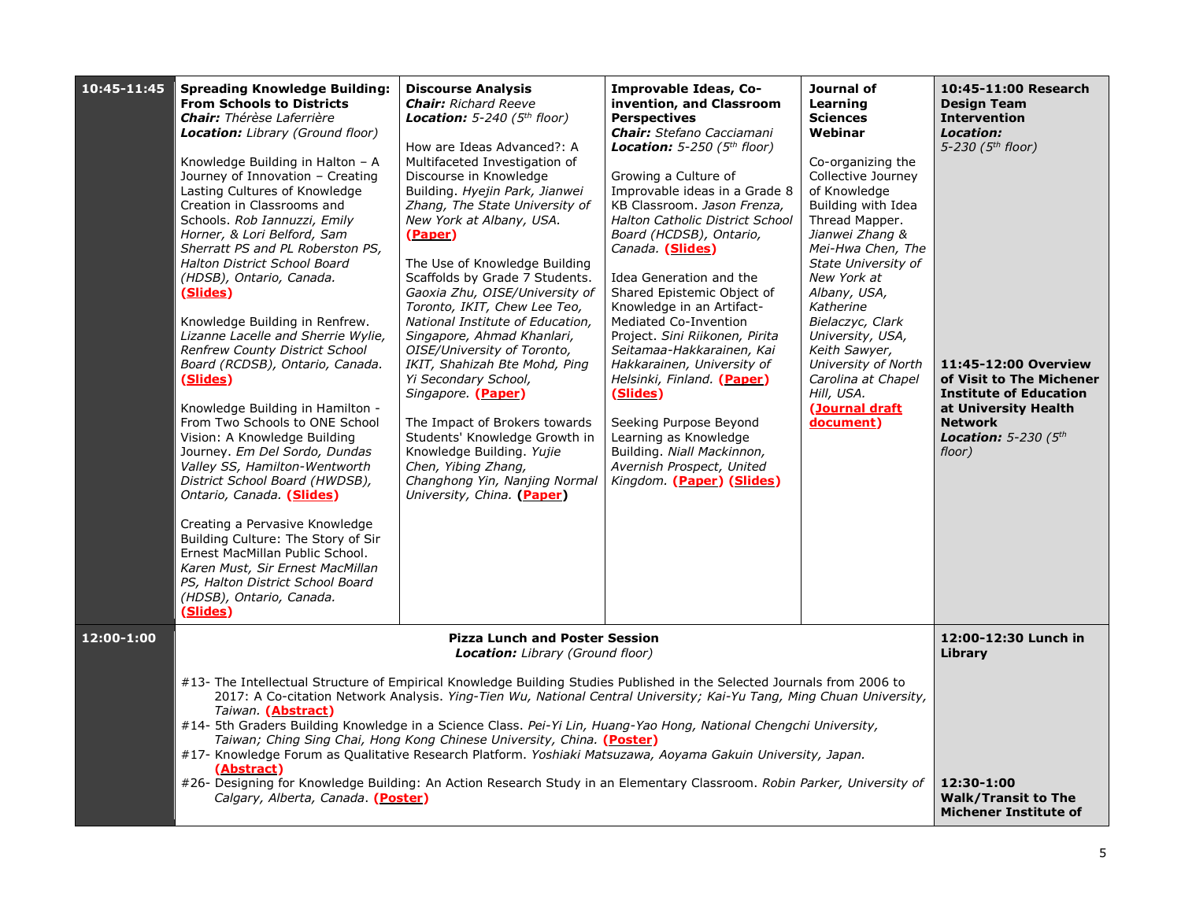| 10:45-11:45 | <b>Spreading Knowledge Building:</b><br><b>From Schools to Districts</b><br><b>Chair:</b> Thérèse Laferrière<br><b>Location:</b> Library (Ground floor)<br>Knowledge Building in Halton - A<br>Journey of Innovation - Creating<br>Lasting Cultures of Knowledge<br>Creation in Classrooms and<br>Schools. Rob Iannuzzi, Emily<br>Horner, & Lori Belford, Sam<br>Sherratt PS and PL Roberston PS,<br>Halton District School Board<br>(HDSB), Ontario, Canada.<br>(Slides)<br>Knowledge Building in Renfrew.<br>Lizanne Lacelle and Sherrie Wylie,<br><b>Renfrew County District School</b><br>Board (RCDSB), Ontario, Canada.<br>(Slides)<br>Knowledge Building in Hamilton -<br>From Two Schools to ONE School<br>Vision: A Knowledge Building<br>Journey. Em Del Sordo, Dundas<br>Valley SS, Hamilton-Wentworth<br>District School Board (HWDSB),<br>Ontario, Canada. (Slides)<br>Creating a Pervasive Knowledge<br>Building Culture: The Story of Sir<br>Ernest MacMillan Public School.<br>Karen Must, Sir Ernest MacMillan<br>PS, Halton District School Board<br>(HDSB), Ontario, Canada.<br>(Slides) | <b>Discourse Analysis</b><br><b>Chair:</b> Richard Reeve<br><b>Location:</b> 5-240 ( $5th floor$ )<br>How are Ideas Advanced?: A<br>Multifaceted Investigation of<br>Discourse in Knowledge<br>Building. Hyejin Park, Jianwei<br>Zhang, The State University of<br>New York at Albany, USA.<br>(Paper)<br>The Use of Knowledge Building<br>Scaffolds by Grade 7 Students.<br>Gaoxia Zhu, OISE/University of<br>Toronto, IKIT, Chew Lee Teo,<br>National Institute of Education,<br>Singapore, Ahmad Khanlari,<br>OISE/University of Toronto,<br>IKIT, Shahizah Bte Mohd, Ping<br>Yi Secondary School,<br>Singapore. (Paper)<br>The Impact of Brokers towards<br>Students' Knowledge Growth in<br>Knowledge Building. Yujie<br>Chen, Yibing Zhang,<br>Changhong Yin, Nanjing Normal<br>University, China. (Paper) | Improvable Ideas, Co-<br>invention, and Classroom<br><b>Perspectives</b><br><b>Chair:</b> Stefano Cacciamani<br>Location: $5-250$ ( $5th$ floor)<br>Growing a Culture of<br>Improvable ideas in a Grade 8<br>KB Classroom. Jason Frenza,<br>Halton Catholic District School<br>Board (HCDSB), Ontario,<br>Canada. (Slides)<br>Idea Generation and the<br>Shared Epistemic Object of<br>Knowledge in an Artifact-<br>Mediated Co-Invention<br>Project. Sini Riikonen, Pirita<br>Seitamaa-Hakkarainen, Kai<br>Hakkarainen, University of<br>Helsinki, Finland. (Paper)<br>(Slides)<br>Seeking Purpose Beyond<br>Learning as Knowledge<br>Building. Niall Mackinnon,<br>Avernish Prospect, United<br>Kingdom. (Paper) (Slides) | Journal of<br>Learning<br><b>Sciences</b><br>Webinar<br>Co-organizing the<br>Collective Journey<br>of Knowledge<br>Building with Idea<br>Thread Mapper.<br>Jianwei Zhang &<br>Mei-Hwa Chen, The<br>State University of<br>New York at<br>Albany, USA,<br>Katherine<br>Bielaczyc, Clark<br>University, USA,<br>Keith Sawyer,<br>University of North<br>Carolina at Chapel<br>Hill, USA.<br>(Journal draft<br>document) | 10:45-11:00 Research<br><b>Design Team</b><br><b>Intervention</b><br>Location:<br>5-230 (5 <sup>th</sup> floor)<br>11:45-12:00 Overview<br>of Visit to The Michener<br><b>Institute of Education</b><br>at University Health<br><b>Network</b><br>Location: $5-230$ ( $5th$<br>floor) |
|-------------|-------------------------------------------------------------------------------------------------------------------------------------------------------------------------------------------------------------------------------------------------------------------------------------------------------------------------------------------------------------------------------------------------------------------------------------------------------------------------------------------------------------------------------------------------------------------------------------------------------------------------------------------------------------------------------------------------------------------------------------------------------------------------------------------------------------------------------------------------------------------------------------------------------------------------------------------------------------------------------------------------------------------------------------------------------------------------------------------------------------|------------------------------------------------------------------------------------------------------------------------------------------------------------------------------------------------------------------------------------------------------------------------------------------------------------------------------------------------------------------------------------------------------------------------------------------------------------------------------------------------------------------------------------------------------------------------------------------------------------------------------------------------------------------------------------------------------------------------------------------------------------------------------------------------------------------|-----------------------------------------------------------------------------------------------------------------------------------------------------------------------------------------------------------------------------------------------------------------------------------------------------------------------------------------------------------------------------------------------------------------------------------------------------------------------------------------------------------------------------------------------------------------------------------------------------------------------------------------------------------------------------------------------------------------------------|-----------------------------------------------------------------------------------------------------------------------------------------------------------------------------------------------------------------------------------------------------------------------------------------------------------------------------------------------------------------------------------------------------------------------|---------------------------------------------------------------------------------------------------------------------------------------------------------------------------------------------------------------------------------------------------------------------------------------|
| 12:00-1:00  |                                                                                                                                                                                                                                                                                                                                                                                                                                                                                                                                                                                                                                                                                                                                                                                                                                                                                                                                                                                                                                                                                                             | <b>Pizza Lunch and Poster Session</b><br><b>Location:</b> Library (Ground floor)                                                                                                                                                                                                                                                                                                                                                                                                                                                                                                                                                                                                                                                                                                                                 |                                                                                                                                                                                                                                                                                                                                                                                                                                                                                                                                                                                                                                                                                                                             |                                                                                                                                                                                                                                                                                                                                                                                                                       | 12:00-12:30 Lunch in<br>Library                                                                                                                                                                                                                                                       |
|             | #13- The Intellectual Structure of Empirical Knowledge Building Studies Published in the Selected Journals from 2006 to<br>Taiwan. (Abstract)<br>#14- 5th Graders Building Knowledge in a Science Class. Pei-Yi Lin, Huang-Yao Hong, National Chengchi University,<br>#17- Knowledge Forum as Qualitative Research Platform. Yoshiaki Matsuzawa, Aoyama Gakuin University, Japan.<br>(Abstract)<br>#26- Designing for Knowledge Building: An Action Research Study in an Elementary Classroom. Robin Parker, University of<br>Calgary, Alberta, Canada. (Poster)                                                                                                                                                                                                                                                                                                                                                                                                                                                                                                                                            | 2017: A Co-citation Network Analysis. Ying-Tien Wu, National Central University; Kai-Yu Tang, Ming Chuan University,<br>Taiwan; Ching Sing Chai, Hong Kong Chinese University, China. (Poster)                                                                                                                                                                                                                                                                                                                                                                                                                                                                                                                                                                                                                   |                                                                                                                                                                                                                                                                                                                                                                                                                                                                                                                                                                                                                                                                                                                             |                                                                                                                                                                                                                                                                                                                                                                                                                       | 12:30-1:00<br><b>Walk/Transit to The</b><br><b>Michener Institute of</b>                                                                                                                                                                                                              |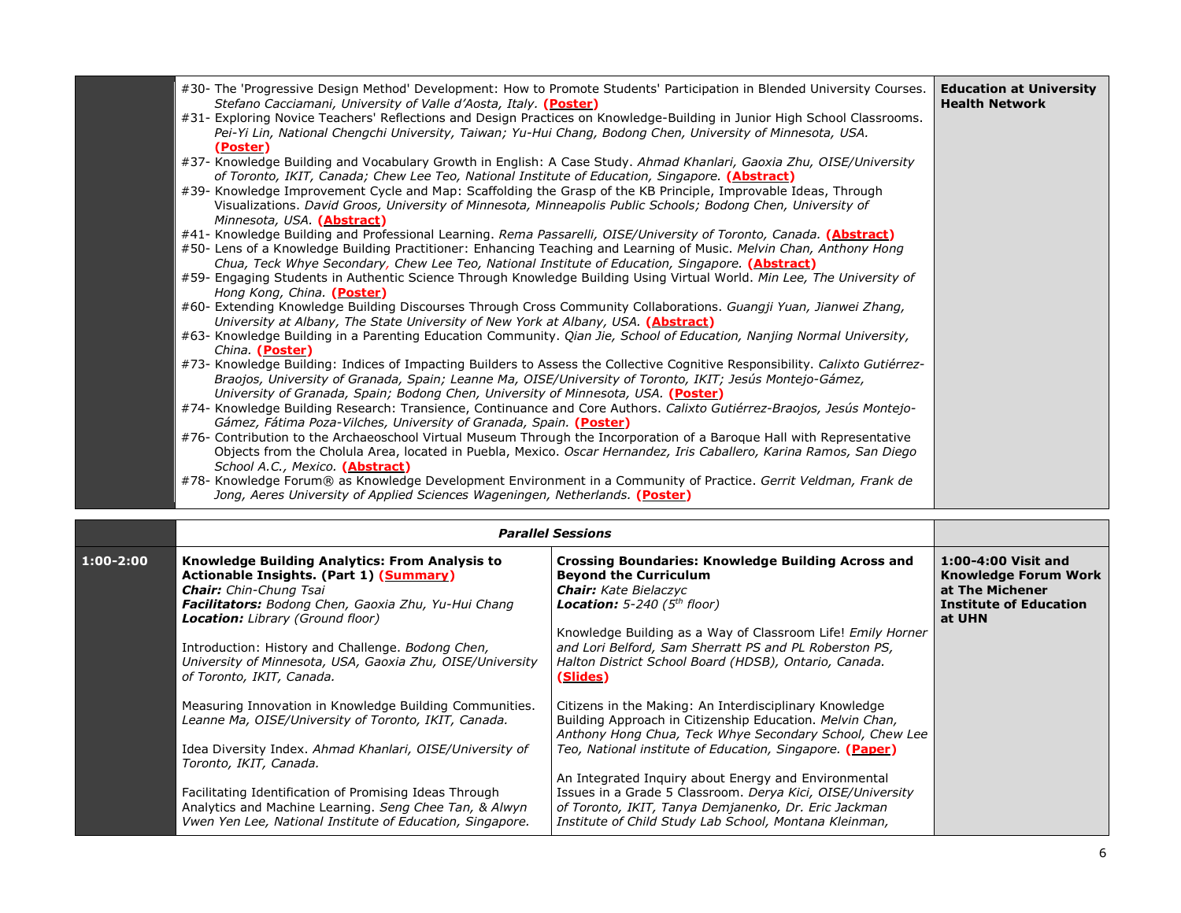| #30- The 'Progressive Design Method' Development: How to Promote Students' Participation in Blended University Courses.<br>Stefano Cacciamani, University of Valle d'Aosta, Italy. (Poster)                                            | <b>Education at University</b><br><b>Health Network</b> |
|----------------------------------------------------------------------------------------------------------------------------------------------------------------------------------------------------------------------------------------|---------------------------------------------------------|
| #31- Exploring Novice Teachers' Reflections and Design Practices on Knowledge-Building in Junior High School Classrooms.<br>Pei-Yi Lin, National Chengchi University, Taiwan; Yu-Hui Chang, Bodong Chen, University of Minnesota, USA. |                                                         |
| (Poster)                                                                                                                                                                                                                               |                                                         |
| #37- Knowledge Building and Vocabulary Growth in English: A Case Study. Ahmad Khanlari, Gaoxia Zhu, OISE/University<br>of Toronto, IKIT, Canada; Chew Lee Teo, National Institute of Education, Singapore. (Abstract)                  |                                                         |
| #39- Knowledge Improvement Cycle and Map: Scaffolding the Grasp of the KB Principle, Improvable Ideas, Through<br>Visualizations. David Groos, University of Minnesota, Minneapolis Public Schools; Bodong Chen, University of         |                                                         |
| Minnesota, USA. (Abstract)                                                                                                                                                                                                             |                                                         |
| #41- Knowledge Building and Professional Learning. Rema Passarelli, OISE/University of Toronto, Canada. (Abstract)                                                                                                                     |                                                         |
| #50- Lens of a Knowledge Building Practitioner: Enhancing Teaching and Learning of Music. Melvin Chan, Anthony Hong                                                                                                                    |                                                         |
| Chua, Teck Whye Secondary, Chew Lee Teo, National Institute of Education, Singapore. (Abstract)<br>#59- Engaging Students in Authentic Science Through Knowledge Building Using Virtual World. Min Lee, The University of              |                                                         |
| Hong Kong, China. (Poster)                                                                                                                                                                                                             |                                                         |
| #60- Extending Knowledge Building Discourses Through Cross Community Collaborations. Guangji Yuan, Jianwei Zhang,                                                                                                                      |                                                         |
| University at Albany, The State University of New York at Albany, USA. (Abstract)                                                                                                                                                      |                                                         |
| #63- Knowledge Building in a Parenting Education Community. Qian Jie, School of Education, Nanjing Normal University,                                                                                                                  |                                                         |
| China. (Poster)                                                                                                                                                                                                                        |                                                         |
| #73- Knowledge Building: Indices of Impacting Builders to Assess the Collective Cognitive Responsibility. Calixto Gutiérrez-                                                                                                           |                                                         |
| Braojos, University of Granada, Spain; Leanne Ma, OISE/University of Toronto, IKIT; Jesús Montejo-Gámez,                                                                                                                               |                                                         |
| University of Granada, Spain; Bodong Chen, University of Minnesota, USA. (Poster)                                                                                                                                                      |                                                         |
| #74- Knowledge Building Research: Transience, Continuance and Core Authors. Calixto Gutiérrez-Braojos, Jesús Montejo-<br>Gámez, Fátima Poza-Vilches, University of Granada, Spain. (Poster)                                            |                                                         |
| #76- Contribution to the Archaeoschool Virtual Museum Through the Incorporation of a Baroque Hall with Representative                                                                                                                  |                                                         |
| Objects from the Cholula Area, located in Puebla, Mexico. Oscar Hernandez, Iris Caballero, Karina Ramos, San Diego<br>School A.C., Mexico. (Abstract)                                                                                  |                                                         |
| #78- Knowledge Forum® as Knowledge Development Environment in a Community of Practice. Gerrit Veldman, Frank de                                                                                                                        |                                                         |
| Jong, Aeres University of Applied Sciences Wageningen, Netherlands. (Poster)                                                                                                                                                           |                                                         |
|                                                                                                                                                                                                                                        |                                                         |

|               | <b>Parallel Sessions</b>                                                                                                                                                                                                                                                                                                                                                               |                                                                                                                                                                                                                                                                                                                                                                                                                                                                                   |                                                                                                                  |
|---------------|----------------------------------------------------------------------------------------------------------------------------------------------------------------------------------------------------------------------------------------------------------------------------------------------------------------------------------------------------------------------------------------|-----------------------------------------------------------------------------------------------------------------------------------------------------------------------------------------------------------------------------------------------------------------------------------------------------------------------------------------------------------------------------------------------------------------------------------------------------------------------------------|------------------------------------------------------------------------------------------------------------------|
| $1:00 - 2:00$ | Knowledge Building Analytics: From Analysis to<br><b>Actionable Insights. (Part 1) (Summary)</b><br><b>Chair:</b> Chin-Chung Tsai<br>Facilitators: Bodong Chen, Gaoxia Zhu, Yu-Hui Chang<br><b>Location:</b> Library (Ground floor)<br>Introduction: History and Challenge. Bodong Chen,<br>University of Minnesota, USA, Gaoxia Zhu, OISE/University<br>of Toronto, IKIT, Canada.     | <b>Crossing Boundaries: Knowledge Building Across and</b><br><b>Beyond the Curriculum</b><br><b>Chair:</b> Kate Bielaczyc<br><b>Location:</b> 5-240 ( $5th floor$ )<br>Knowledge Building as a Way of Classroom Life! Emily Horner<br>and Lori Belford, Sam Sherratt PS and PL Roberston PS,<br>Halton District School Board (HDSB), Ontario, Canada.<br>(Slides)                                                                                                                 | 1:00-4:00 Visit and<br><b>Knowledge Forum Work</b><br>at The Michener<br><b>Institute of Education</b><br>at UHN |
|               | Measuring Innovation in Knowledge Building Communities.<br>Leanne Ma, OISE/University of Toronto, IKIT, Canada.<br>Idea Diversity Index. Ahmad Khanlari, OISE/University of<br>Toronto, IKIT, Canada.<br>Facilitating Identification of Promising Ideas Through<br>Analytics and Machine Learning. Seng Chee Tan, & Alwyn<br>Vwen Yen Lee, National Institute of Education, Singapore. | Citizens in the Making: An Interdisciplinary Knowledge<br>Building Approach in Citizenship Education. Melvin Chan,<br>Anthony Hong Chua, Teck Whye Secondary School, Chew Lee<br>Teo, National institute of Education, Singapore. (Paper)<br>An Integrated Inguiry about Energy and Environmental<br>Issues in a Grade 5 Classroom. Derya Kici, OISE/University<br>of Toronto, IKIT, Tanya Demjanenko, Dr. Eric Jackman<br>Institute of Child Study Lab School, Montana Kleinman, |                                                                                                                  |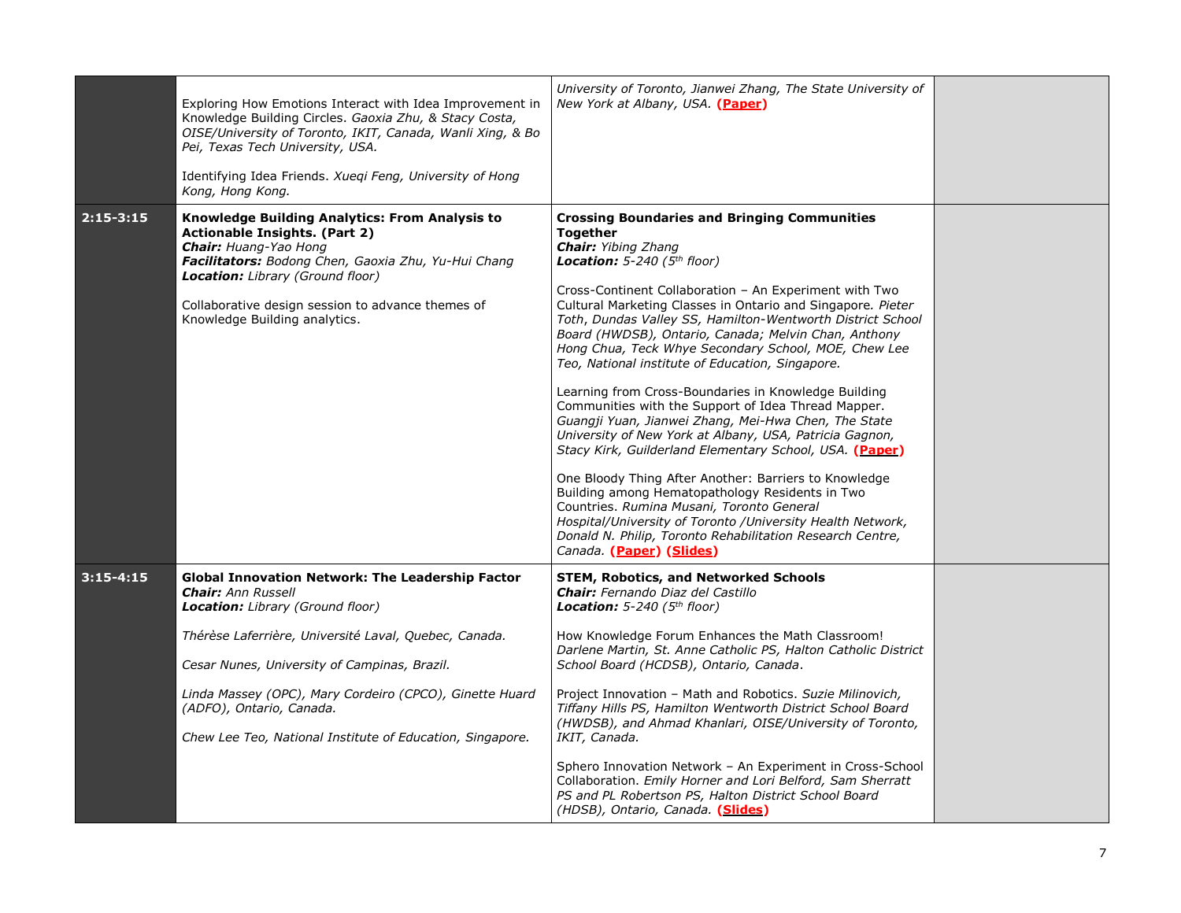|               | Exploring How Emotions Interact with Idea Improvement in<br>Knowledge Building Circles. Gaoxia Zhu, & Stacy Costa,<br>OISE/University of Toronto, IKIT, Canada, Wanli Xing, & Bo<br>Pei, Texas Tech University, USA.<br>Identifying Idea Friends. Xueqi Feng, University of Hong<br>Kong, Hong Kong.           | University of Toronto, Jianwei Zhang, The State University of<br>New York at Albany, USA. (Paper)                                                                                                                                                                                                                                                                                                                                                                                                                                                                                                                                                                                                                                                                                                                                                                                                                                                                                                                                                                                                              |  |
|---------------|----------------------------------------------------------------------------------------------------------------------------------------------------------------------------------------------------------------------------------------------------------------------------------------------------------------|----------------------------------------------------------------------------------------------------------------------------------------------------------------------------------------------------------------------------------------------------------------------------------------------------------------------------------------------------------------------------------------------------------------------------------------------------------------------------------------------------------------------------------------------------------------------------------------------------------------------------------------------------------------------------------------------------------------------------------------------------------------------------------------------------------------------------------------------------------------------------------------------------------------------------------------------------------------------------------------------------------------------------------------------------------------------------------------------------------------|--|
| $2:15 - 3:15$ | <b>Knowledge Building Analytics: From Analysis to</b><br><b>Actionable Insights. (Part 2)</b><br>Chair: Huang-Yao Hong<br>Facilitators: Bodong Chen, Gaoxia Zhu, Yu-Hui Chang<br><b>Location:</b> Library (Ground floor)<br>Collaborative design session to advance themes of<br>Knowledge Building analytics. | <b>Crossing Boundaries and Bringing Communities</b><br>Together<br><b>Chair:</b> Yibing Zhang<br><b>Location:</b> 5-240 ( $5th$ floor)<br>Cross-Continent Collaboration - An Experiment with Two<br>Cultural Marketing Classes in Ontario and Singapore. Pieter<br>Toth, Dundas Valley SS, Hamilton-Wentworth District School<br>Board (HWDSB), Ontario, Canada; Melvin Chan, Anthony<br>Hong Chua, Teck Whye Secondary School, MOE, Chew Lee<br>Teo, National institute of Education, Singapore.<br>Learning from Cross-Boundaries in Knowledge Building<br>Communities with the Support of Idea Thread Mapper.<br>Guangji Yuan, Jianwei Zhang, Mei-Hwa Chen, The State<br>University of New York at Albany, USA, Patricia Gagnon,<br>Stacy Kirk, Guilderland Elementary School, USA. (Paper)<br>One Bloody Thing After Another: Barriers to Knowledge<br>Building among Hematopathology Residents in Two<br>Countries. Rumina Musani, Toronto General<br>Hospital/University of Toronto /University Health Network,<br>Donald N. Philip, Toronto Rehabilitation Research Centre,<br>Canada. (Paper) (Slides) |  |
| $3:15-4:15$   | <b>Global Innovation Network: The Leadership Factor</b><br><b>Chair:</b> Ann Russell<br>Location: Library (Ground floor)                                                                                                                                                                                       | <b>STEM, Robotics, and Networked Schools</b><br><b>Chair:</b> Fernando Diaz del Castillo<br><b>Location:</b> 5-240 ( $5th floor$ )                                                                                                                                                                                                                                                                                                                                                                                                                                                                                                                                                                                                                                                                                                                                                                                                                                                                                                                                                                             |  |
|               | Thérèse Laferrière, Université Laval, Quebec, Canada.                                                                                                                                                                                                                                                          | How Knowledge Forum Enhances the Math Classroom!<br>Darlene Martin, St. Anne Catholic PS, Halton Catholic District                                                                                                                                                                                                                                                                                                                                                                                                                                                                                                                                                                                                                                                                                                                                                                                                                                                                                                                                                                                             |  |
|               | Cesar Nunes, University of Campinas, Brazil.                                                                                                                                                                                                                                                                   | School Board (HCDSB), Ontario, Canada.                                                                                                                                                                                                                                                                                                                                                                                                                                                                                                                                                                                                                                                                                                                                                                                                                                                                                                                                                                                                                                                                         |  |
|               | Linda Massey (OPC), Mary Cordeiro (CPCO), Ginette Huard<br>(ADFO), Ontario, Canada.                                                                                                                                                                                                                            | Project Innovation - Math and Robotics. Suzie Milinovich,<br>Tiffany Hills PS, Hamilton Wentworth District School Board<br>(HWDSB), and Ahmad Khanlari, OISE/University of Toronto,                                                                                                                                                                                                                                                                                                                                                                                                                                                                                                                                                                                                                                                                                                                                                                                                                                                                                                                            |  |
|               | Chew Lee Teo, National Institute of Education, Singapore.                                                                                                                                                                                                                                                      | IKIT, Canada.                                                                                                                                                                                                                                                                                                                                                                                                                                                                                                                                                                                                                                                                                                                                                                                                                                                                                                                                                                                                                                                                                                  |  |
|               |                                                                                                                                                                                                                                                                                                                | Sphero Innovation Network - An Experiment in Cross-School<br>Collaboration. Emily Horner and Lori Belford, Sam Sherratt<br>PS and PL Robertson PS, Halton District School Board<br>(HDSB), Ontario, Canada. (Slides)                                                                                                                                                                                                                                                                                                                                                                                                                                                                                                                                                                                                                                                                                                                                                                                                                                                                                           |  |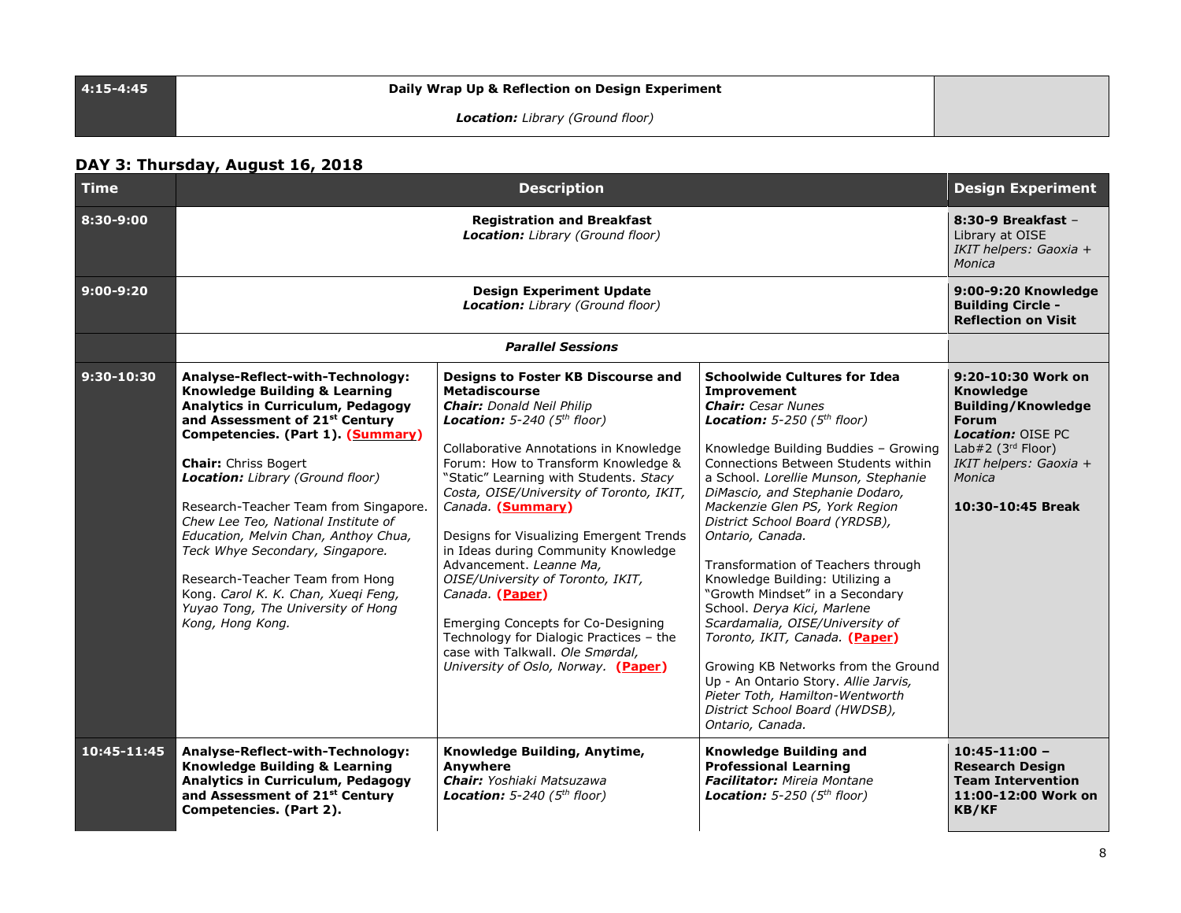### **4:15-4:45 Daily Wrap Up & Reflection on Design Experiment**

*Location: Library (Ground floor)*

### **DAY 3: Thursday, August 16, 2018**

| <b>Time</b>  |                                                                                                                                                                                                                                                                                                                                                                                                                                                                                                                                                                   | <b>Design Experiment</b>                                                                                                                                                                                                                                                                                                                                                                                                                                                                                                                                                                                                                                              |                                                                                                                                                                                                                                                                                                                                                                                                                                                                                                                                                                                                                                                                                                                                                                     |                                                                                                                                                                                                 |
|--------------|-------------------------------------------------------------------------------------------------------------------------------------------------------------------------------------------------------------------------------------------------------------------------------------------------------------------------------------------------------------------------------------------------------------------------------------------------------------------------------------------------------------------------------------------------------------------|-----------------------------------------------------------------------------------------------------------------------------------------------------------------------------------------------------------------------------------------------------------------------------------------------------------------------------------------------------------------------------------------------------------------------------------------------------------------------------------------------------------------------------------------------------------------------------------------------------------------------------------------------------------------------|---------------------------------------------------------------------------------------------------------------------------------------------------------------------------------------------------------------------------------------------------------------------------------------------------------------------------------------------------------------------------------------------------------------------------------------------------------------------------------------------------------------------------------------------------------------------------------------------------------------------------------------------------------------------------------------------------------------------------------------------------------------------|-------------------------------------------------------------------------------------------------------------------------------------------------------------------------------------------------|
| 8:30-9:00    |                                                                                                                                                                                                                                                                                                                                                                                                                                                                                                                                                                   | $8:30-9$ Breakfast -<br>Library at OISE<br>IKIT helpers: Gaoxia +<br>Monica                                                                                                                                                                                                                                                                                                                                                                                                                                                                                                                                                                                           |                                                                                                                                                                                                                                                                                                                                                                                                                                                                                                                                                                                                                                                                                                                                                                     |                                                                                                                                                                                                 |
| $9:00-9:20$  |                                                                                                                                                                                                                                                                                                                                                                                                                                                                                                                                                                   | 9:00-9:20 Knowledge<br><b>Building Circle -</b><br><b>Reflection on Visit</b>                                                                                                                                                                                                                                                                                                                                                                                                                                                                                                                                                                                         |                                                                                                                                                                                                                                                                                                                                                                                                                                                                                                                                                                                                                                                                                                                                                                     |                                                                                                                                                                                                 |
|              |                                                                                                                                                                                                                                                                                                                                                                                                                                                                                                                                                                   | <b>Parallel Sessions</b>                                                                                                                                                                                                                                                                                                                                                                                                                                                                                                                                                                                                                                              |                                                                                                                                                                                                                                                                                                                                                                                                                                                                                                                                                                                                                                                                                                                                                                     |                                                                                                                                                                                                 |
| $9:30-10:30$ | Analyse-Reflect-with-Technology:<br><b>Knowledge Building &amp; Learning</b><br><b>Analytics in Curriculum, Pedagogy</b><br>and Assessment of 21st Century<br>Competencies. (Part 1). (Summary)<br><b>Chair:</b> Chriss Bogert<br>Location: Library (Ground floor)<br>Research-Teacher Team from Singapore.<br>Chew Lee Teo, National Institute of<br>Education, Melvin Chan, Anthoy Chua,<br>Teck Whye Secondary, Singapore.<br>Research-Teacher Team from Hong<br>Kong. Carol K. K. Chan, Xueqi Feng,<br>Yuyao Tong, The University of Hong<br>Kong, Hong Kong. | Designs to Foster KB Discourse and<br><b>Metadiscourse</b><br><b>Chair:</b> Donald Neil Philip<br><b>Location:</b> 5-240 ( $5th floor$ )<br>Collaborative Annotations in Knowledge<br>Forum: How to Transform Knowledge &<br>"Static" Learning with Students. Stacy<br>Costa, OISE/University of Toronto, IKIT,<br>Canada. (Summary)<br>Designs for Visualizing Emergent Trends<br>in Ideas during Community Knowledge<br>Advancement. Leanne Ma,<br>OISE/University of Toronto, IKIT,<br>Canada. (Paper)<br>Emerging Concepts for Co-Designing<br>Technology for Dialogic Practices - the<br>case with Talkwall. Ole Smørdal,<br>University of Oslo, Norway. (Paper) | <b>Schoolwide Cultures for Idea</b><br>Improvement<br><b>Chair:</b> Cesar Nunes<br><b>Location:</b> 5-250 ( $5th floor$ )<br>Knowledge Building Buddies - Growing<br>Connections Between Students within<br>a School. Lorellie Munson, Stephanie<br>DiMascio, and Stephanie Dodaro,<br>Mackenzie Glen PS, York Region<br>District School Board (YRDSB),<br>Ontario, Canada.<br>Transformation of Teachers through<br>Knowledge Building: Utilizing a<br>"Growth Mindset" in a Secondary<br>School. Derya Kici, Marlene<br>Scardamalia, OISE/University of<br>Toronto, IKIT, Canada. (Paper)<br>Growing KB Networks from the Ground<br>Up - An Ontario Story. Allie Jarvis,<br>Pieter Toth, Hamilton-Wentworth<br>District School Board (HWDSB),<br>Ontario, Canada. | 9:20-10:30 Work on<br><b>Knowledge</b><br><b>Building/Knowledge</b><br><b>Forum</b><br><b>Location: OISE PC</b><br>Lab#2 $(3rd$ Floor)<br>IKIT helpers: Gaoxia +<br>Monica<br>10:30-10:45 Break |
| 10:45-11:45  | Analyse-Reflect-with-Technology:<br><b>Knowledge Building &amp; Learning</b><br><b>Analytics in Curriculum, Pedagogy</b><br>and Assessment of 21 <sup>st</sup> Century<br>Competencies. (Part 2).                                                                                                                                                                                                                                                                                                                                                                 | Knowledge Building, Anytime,<br>Anvwhere<br>Chair: Yoshiaki Matsuzawa<br><b>Location:</b> 5-240 ( $5th floor$ )                                                                                                                                                                                                                                                                                                                                                                                                                                                                                                                                                       | <b>Knowledge Building and</b><br><b>Professional Learning</b><br>Facilitator: Mireia Montane<br><b>Location:</b> 5-250 ( $5th floor$ )                                                                                                                                                                                                                                                                                                                                                                                                                                                                                                                                                                                                                              | $10:45 - 11:00 -$<br><b>Research Design</b><br><b>Team Intervention</b><br>11:00-12:00 Work on<br>KB/KF                                                                                         |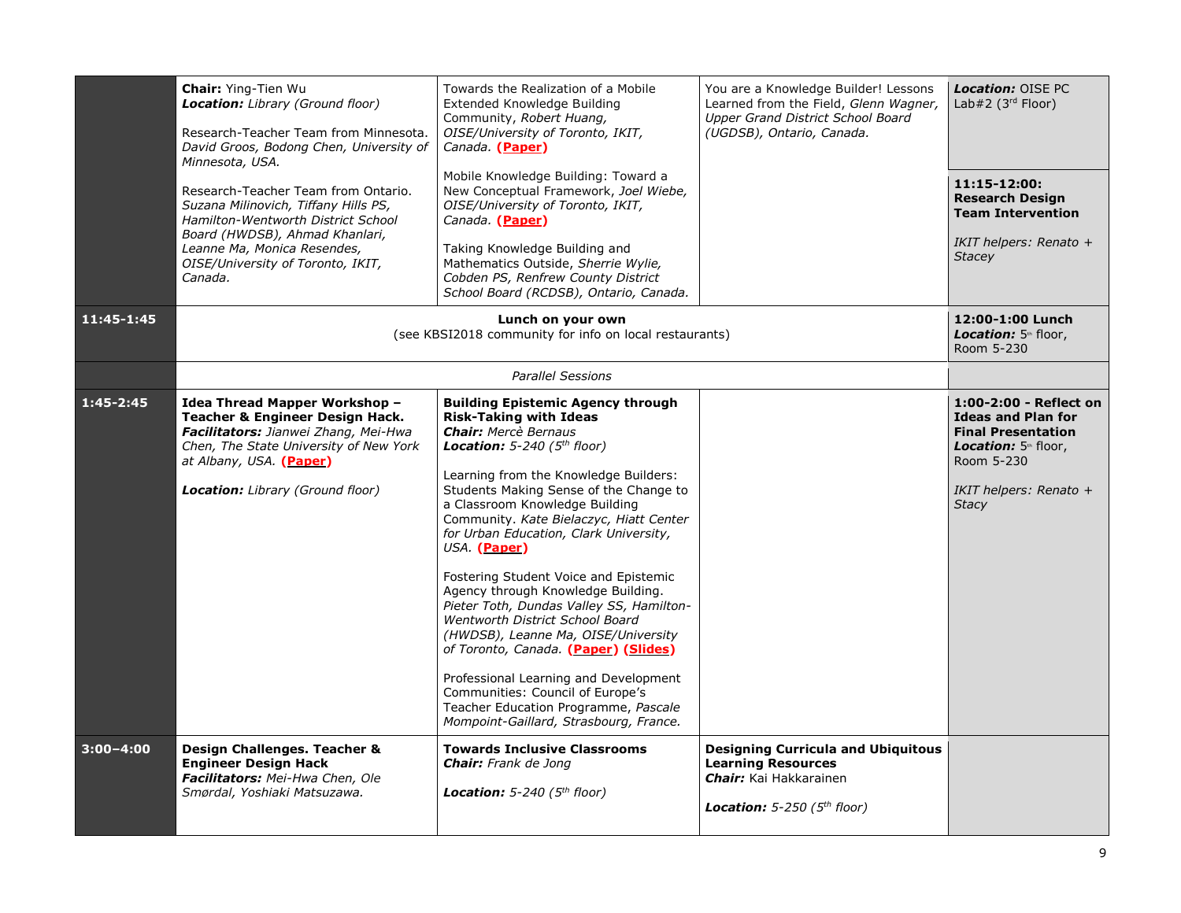|               | <b>Chair: Ying-Tien Wu</b><br><b>Location:</b> Library (Ground floor)<br>Research-Teacher Team from Minnesota.<br>David Groos, Bodong Chen, University of<br>Minnesota, USA.                                                        | Towards the Realization of a Mobile<br>Extended Knowledge Building<br>Community, Robert Huang,<br>OISE/University of Toronto, IKIT,<br>Canada. (Paper)<br>Mobile Knowledge Building: Toward a                                                                                                                                                                                                                                                                                                                                                                                                                                                                                                                                                                                           | You are a Knowledge Builder! Lessons<br>Learned from the Field, Glenn Wagner,<br>Upper Grand District School Board<br>(UGDSB), Ontario, Canada. | <b>Location: OISE PC</b><br>Lab#2 $(3rd Floor)$                                                                                                                  |
|---------------|-------------------------------------------------------------------------------------------------------------------------------------------------------------------------------------------------------------------------------------|-----------------------------------------------------------------------------------------------------------------------------------------------------------------------------------------------------------------------------------------------------------------------------------------------------------------------------------------------------------------------------------------------------------------------------------------------------------------------------------------------------------------------------------------------------------------------------------------------------------------------------------------------------------------------------------------------------------------------------------------------------------------------------------------|-------------------------------------------------------------------------------------------------------------------------------------------------|------------------------------------------------------------------------------------------------------------------------------------------------------------------|
|               | Research-Teacher Team from Ontario.<br>Suzana Milinovich, Tiffany Hills PS,<br>Hamilton-Wentworth District School                                                                                                                   | New Conceptual Framework, Joel Wiebe,<br>OISE/University of Toronto, IKIT,<br>Canada (Paper)                                                                                                                                                                                                                                                                                                                                                                                                                                                                                                                                                                                                                                                                                            |                                                                                                                                                 | 11:15-12:00:<br><b>Research Design</b><br><b>Team Intervention</b>                                                                                               |
|               | Board (HWDSB), Ahmad Khanlari,<br>Leanne Ma, Monica Resendes,<br>OISE/University of Toronto, IKIT,<br>Canada.                                                                                                                       | Taking Knowledge Building and<br>Mathematics Outside, Sherrie Wylie,<br>Cobden PS, Renfrew County District<br>School Board (RCDSB), Ontario, Canada.                                                                                                                                                                                                                                                                                                                                                                                                                                                                                                                                                                                                                                    |                                                                                                                                                 | IKIT helpers: Renato +<br><b>Stacey</b>                                                                                                                          |
| 11:45-1:45    | Lunch on your own<br>(see KBSI2018 community for info on local restaurants)                                                                                                                                                         |                                                                                                                                                                                                                                                                                                                                                                                                                                                                                                                                                                                                                                                                                                                                                                                         |                                                                                                                                                 |                                                                                                                                                                  |
|               | <b>Parallel Sessions</b>                                                                                                                                                                                                            |                                                                                                                                                                                                                                                                                                                                                                                                                                                                                                                                                                                                                                                                                                                                                                                         |                                                                                                                                                 |                                                                                                                                                                  |
| $1:45 - 2:45$ | Idea Thread Mapper Workshop -<br><b>Teacher &amp; Engineer Design Hack.</b><br>Facilitators: Jianwei Zhang, Mei-Hwa<br>Chen, The State University of New York<br>at Albany, USA. (Paper)<br><b>Location:</b> Library (Ground floor) | <b>Building Epistemic Agency through</b><br><b>Risk-Taking with Ideas</b><br><b>Chair:</b> Mercè Bernaus<br><b>Location:</b> 5-240 ( $5th$ floor)<br>Learning from the Knowledge Builders:<br>Students Making Sense of the Change to<br>a Classroom Knowledge Building<br>Community. Kate Bielaczyc, Hiatt Center<br>for Urban Education, Clark University,<br>USA. (Paper)<br>Fostering Student Voice and Epistemic<br>Agency through Knowledge Building.<br>Pieter Toth, Dundas Valley SS, Hamilton-<br>Wentworth District School Board<br>(HWDSB), Leanne Ma, OISE/University<br>of Toronto, Canada. (Paper) (Slides)<br>Professional Learning and Development<br>Communities: Council of Europe's<br>Teacher Education Programme, Pascale<br>Mompoint-Gaillard, Strasbourg, France. |                                                                                                                                                 | 1:00-2:00 - Reflect on<br><b>Ideas and Plan for</b><br><b>Final Presentation</b><br>Location: 5th floor,<br>Room 5-230<br>IKIT helpers: Renato +<br><b>Stacy</b> |
| $3:00 - 4:00$ | Design Challenges. Teacher &<br><b>Engineer Design Hack</b><br>Facilitators: Mei-Hwa Chen, Ole<br>Smørdal, Yoshiaki Matsuzawa.                                                                                                      | <b>Towards Inclusive Classrooms</b><br><b>Chair:</b> Frank de Jong<br><b>Location:</b> 5-240 ( $5th$ floor)                                                                                                                                                                                                                                                                                                                                                                                                                                                                                                                                                                                                                                                                             | <b>Designing Curricula and Ubiquitous</b><br><b>Learning Resources</b><br><b>Chair:</b> Kai Hakkarainen<br>Location: $5-250$ ( $5th$ floor)     |                                                                                                                                                                  |